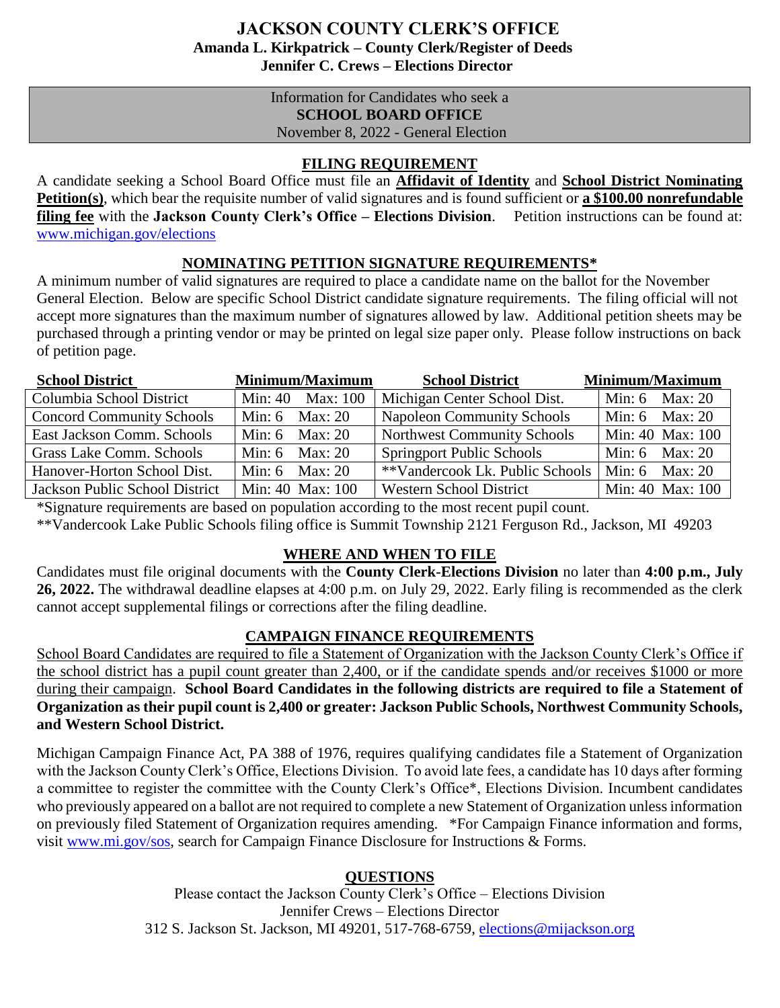# **JACKSON COUNTY CLERK'S OFFICE Amanda L. Kirkpatrick – County Clerk/Register of Deeds Jennifer C. Crews – Elections Director**

Information for Candidates who seek a **SCHOOL BOARD OFFICE** November 8, 2022 - General Election

## **FILING REQUIREMENT**

A candidate seeking a School Board Office must file an **Affidavit of Identity** and **School District Nominating Petition(s)**, which bear the requisite number of valid signatures and is found sufficient or **a \$100.00 nonrefundable filing fee** with the **Jackson County Clerk's Office – Elections Division**. Petition instructions can be found at: www.michigan.gov/elections

## **NOMINATING PETITION SIGNATURE REQUIREMENTS\***

A minimum number of valid signatures are required to place a candidate name on the ballot for the November General Election. Below are specific School District candidate signature requirements. The filing official will not accept more signatures than the maximum number of signatures allowed by law. Additional petition sheets may be purchased through a printing vendor or may be printed on legal size paper only. Please follow instructions on back of petition page.

| <b>School District</b>           | <b>Minimum/Maximum</b> | <b>School District</b>                           | Minimum/Maximum  |
|----------------------------------|------------------------|--------------------------------------------------|------------------|
| Columbia School District         | Min: 40 Max: 100       | Michigan Center School Dist.                     | Min: 6 Max: 20   |
| <b>Concord Community Schools</b> | Min: $6$ Max: $20$     | <b>Napoleon Community Schools</b>                | Min: 6 Max: 20   |
| East Jackson Comm. Schools       | Min: $6$ Max: $20$     | <b>Northwest Community Schools</b>               | Min: 40 Max: 100 |
| Grass Lake Comm. Schools         | Min: $6$ Max: $20$     | <b>Springport Public Schools</b>                 | Min: 6 Max: 20   |
| Hanover-Horton School Dist.      | Min: $6$ Max: $20$     | **Vandercook Lk. Public Schools   Min: 6 Max: 20 |                  |
| Jackson Public School District   | Min: 40 Max: 100       | <b>Western School District</b>                   | Min: 40 Max: 100 |

\*Signature requirements are based on population according to the most recent pupil count.

\*\*Vandercook Lake Public Schools filing office is Summit Township 2121 Ferguson Rd., Jackson, MI 49203

## **WHERE AND WHEN TO FILE**

Candidates must file original documents with the **County Clerk-Elections Division** no later than **4:00 p.m., July 26, 2022.** The withdrawal deadline elapses at 4:00 p.m. on July 29, 2022. Early filing is recommended as the clerk cannot accept supplemental filings or corrections after the filing deadline.

## **CAMPAIGN FINANCE REQUIREMENTS**

School Board Candidates are required to file a Statement of Organization with the Jackson County Clerk's Office if the school district has a pupil count greater than 2,400, or if the candidate spends and/or receives \$1000 or more during their campaign. **School Board Candidates in the following districts are required to file a Statement of Organization as their pupil count is 2,400 or greater: Jackson Public Schools, Northwest Community Schools, and Western School District.** 

Michigan Campaign Finance Act, PA 388 of 1976, requires qualifying candidates file a Statement of Organization with the Jackson County Clerk's Office, Elections Division. To avoid late fees, a candidate has 10 days after forming a committee to register the committee with the County Clerk's Office\*, Elections Division. Incumbent candidates who previously appeared on a ballot are not required to complete a new Statement of Organization unless information on previously filed Statement of Organization requires amending. \*For Campaign Finance information and forms, visit www.mi.gov/sos, search for Campaign Finance Disclosure for Instructions & Forms.

## **QUESTIONS**

Please contact the Jackson County Clerk's Office – Elections Division Jennifer Crews – Elections Director 312 S. Jackson St. Jackson, MI 49201, 517-768-6759, elections@mijackson.org